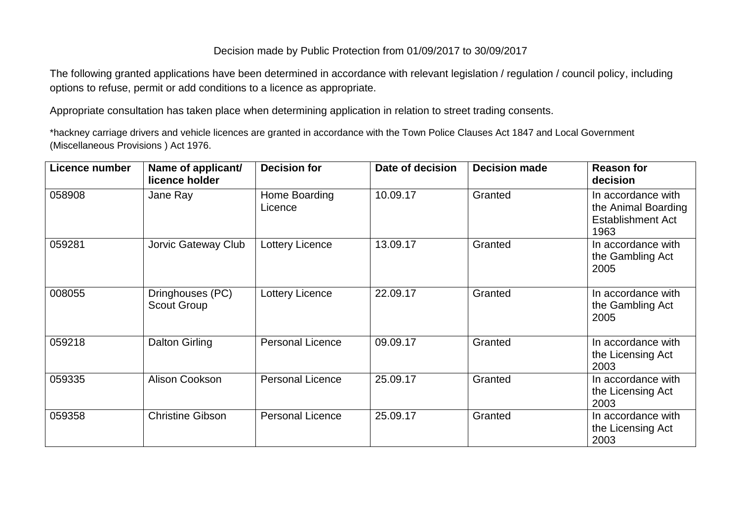## Decision made by Public Protection from 01/09/2017 to 30/09/2017

The following granted applications have been determined in accordance with relevant legislation / regulation / council policy, including options to refuse, permit or add conditions to a licence as appropriate.

Appropriate consultation has taken place when determining application in relation to street trading consents.

\*hackney carriage drivers and vehicle licences are granted in accordance with the Town Police Clauses Act 1847 and Local Government (Miscellaneous Provisions ) Act 1976.

| Licence number | Name of applicant/<br>licence holder   | <b>Decision for</b>      | Date of decision | <b>Decision made</b> | <b>Reason for</b><br>decision                                                 |
|----------------|----------------------------------------|--------------------------|------------------|----------------------|-------------------------------------------------------------------------------|
| 058908         | Jane Ray                               | Home Boarding<br>Licence | 10.09.17         | Granted              | In accordance with<br>the Animal Boarding<br><b>Establishment Act</b><br>1963 |
| 059281         | Jorvic Gateway Club                    | <b>Lottery Licence</b>   | 13.09.17         | Granted              | In accordance with<br>the Gambling Act<br>2005                                |
| 008055         | Dringhouses (PC)<br><b>Scout Group</b> | <b>Lottery Licence</b>   | 22.09.17         | Granted              | In accordance with<br>the Gambling Act<br>2005                                |
| 059218         | <b>Dalton Girling</b>                  | <b>Personal Licence</b>  | 09.09.17         | Granted              | In accordance with<br>the Licensing Act<br>2003                               |
| 059335         | Alison Cookson                         | <b>Personal Licence</b>  | 25.09.17         | Granted              | In accordance with<br>the Licensing Act<br>2003                               |
| 059358         | <b>Christine Gibson</b>                | <b>Personal Licence</b>  | 25.09.17         | Granted              | In accordance with<br>the Licensing Act<br>2003                               |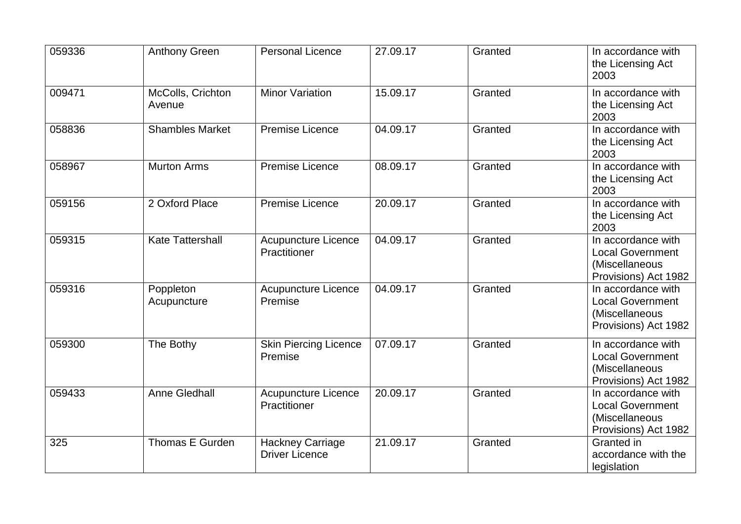| 059336 | <b>Anthony Green</b>        | <b>Personal Licence</b>                          | 27.09.17 | Granted | In accordance with<br>the Licensing Act<br>2003                                         |
|--------|-----------------------------|--------------------------------------------------|----------|---------|-----------------------------------------------------------------------------------------|
| 009471 | McColls, Crichton<br>Avenue | <b>Minor Variation</b>                           | 15.09.17 | Granted | In accordance with<br>the Licensing Act<br>2003                                         |
| 058836 | <b>Shambles Market</b>      | <b>Premise Licence</b>                           | 04.09.17 | Granted | In accordance with<br>the Licensing Act<br>2003                                         |
| 058967 | <b>Murton Arms</b>          | <b>Premise Licence</b>                           | 08.09.17 | Granted | In accordance with<br>the Licensing Act<br>2003                                         |
| 059156 | 2 Oxford Place              | <b>Premise Licence</b>                           | 20.09.17 | Granted | In accordance with<br>the Licensing Act<br>2003                                         |
| 059315 | <b>Kate Tattershall</b>     | <b>Acupuncture Licence</b><br>Practitioner       | 04.09.17 | Granted | In accordance with<br><b>Local Government</b><br>(Miscellaneous<br>Provisions) Act 1982 |
| 059316 | Poppleton<br>Acupuncture    | <b>Acupuncture Licence</b><br>Premise            | 04.09.17 | Granted | In accordance with<br><b>Local Government</b><br>(Miscellaneous<br>Provisions) Act 1982 |
| 059300 | The Bothy                   | <b>Skin Piercing Licence</b><br>Premise          | 07.09.17 | Granted | In accordance with<br><b>Local Government</b><br>(Miscellaneous<br>Provisions) Act 1982 |
| 059433 | <b>Anne Gledhall</b>        | <b>Acupuncture Licence</b><br>Practitioner       | 20.09.17 | Granted | In accordance with<br><b>Local Government</b><br>(Miscellaneous<br>Provisions) Act 1982 |
| 325    | Thomas E Gurden             | <b>Hackney Carriage</b><br><b>Driver Licence</b> | 21.09.17 | Granted | Granted in<br>accordance with the<br>legislation                                        |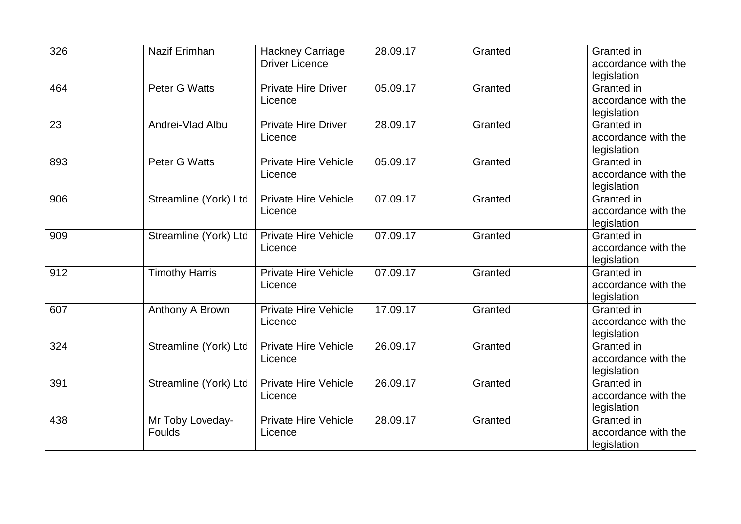| 326 | Nazif Erimhan         | <b>Hackney Carriage</b>                | 28.09.17 | Granted | Granted in          |
|-----|-----------------------|----------------------------------------|----------|---------|---------------------|
|     |                       | <b>Driver Licence</b>                  |          |         | accordance with the |
|     |                       |                                        |          |         | legislation         |
| 464 | <b>Peter G Watts</b>  | <b>Private Hire Driver</b>             | 05.09.17 | Granted | Granted in          |
|     |                       | Licence                                |          |         | accordance with the |
|     |                       |                                        |          |         | legislation         |
| 23  | Andrei-Vlad Albu      | <b>Private Hire Driver</b>             | 28.09.17 | Granted | Granted in          |
|     |                       | Licence                                |          |         | accordance with the |
|     |                       |                                        |          |         | legislation         |
| 893 | Peter G Watts         | <b>Private Hire Vehicle</b><br>Licence | 05.09.17 | Granted | Granted in          |
|     |                       |                                        |          |         | accordance with the |
|     |                       |                                        |          |         | legislation         |
| 906 | Streamline (York) Ltd | <b>Private Hire Vehicle</b><br>Licence | 07.09.17 | Granted | Granted in          |
|     |                       |                                        |          |         | accordance with the |
|     |                       |                                        |          |         | legislation         |
| 909 | Streamline (York) Ltd | <b>Private Hire Vehicle</b>            | 07.09.17 | Granted | Granted in          |
|     |                       | Licence                                |          |         | accordance with the |
|     |                       |                                        |          |         | legislation         |
| 912 | <b>Timothy Harris</b> | <b>Private Hire Vehicle</b><br>Licence | 07.09.17 | Granted | Granted in          |
|     |                       |                                        |          |         | accordance with the |
|     |                       |                                        |          |         | legislation         |
| 607 | Anthony A Brown       | <b>Private Hire Vehicle</b><br>Licence | 17.09.17 | Granted | Granted in          |
|     |                       |                                        |          |         | accordance with the |
|     |                       |                                        |          |         | legislation         |
| 324 | Streamline (York) Ltd | <b>Private Hire Vehicle</b>            | 26.09.17 | Granted | Granted in          |
|     |                       | Licence                                |          |         | accordance with the |
|     |                       |                                        |          |         | legislation         |
| 391 | Streamline (York) Ltd | <b>Private Hire Vehicle</b>            | 26.09.17 | Granted | Granted in          |
|     |                       | Licence                                |          |         | accordance with the |
|     |                       |                                        |          |         | legislation         |
| 438 | Mr Toby Loveday-      | <b>Private Hire Vehicle</b>            | 28.09.17 | Granted | Granted in          |
|     | Foulds                | Licence                                |          |         | accordance with the |
|     |                       |                                        |          |         | legislation         |